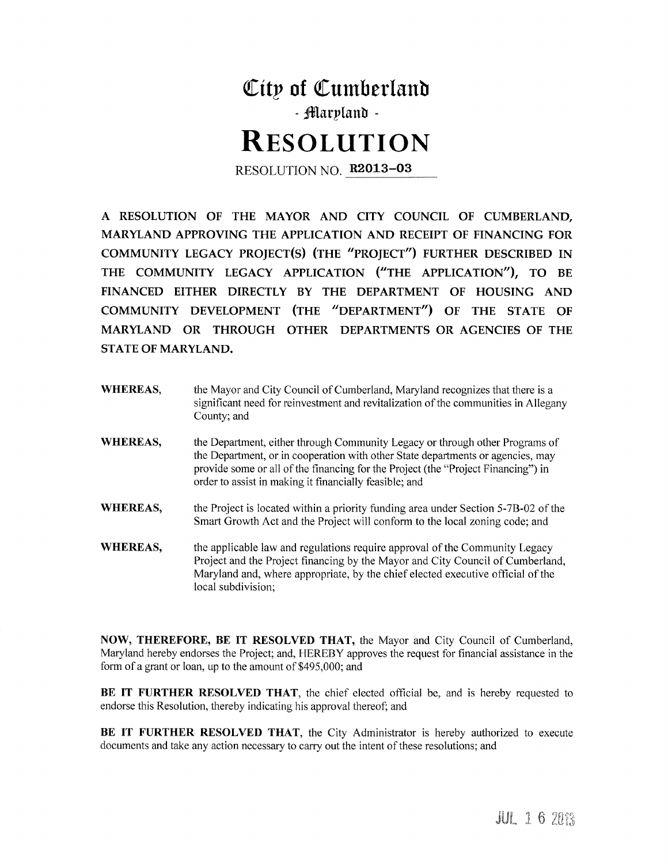

A RESOLUTION OF THE MAYOR AND CITY COUNCIL OF CUMBERLAND, MARYLAND APPROVING THE APPLICATION AND RECEIPT OF FINANCING FOR COMMUNITY LEGACY PROJECT(S) (THE "PROJECT") FURTHER DESCRIBED IN THE COMMUNITY LEGACY APPLICATION ("THE APPLICATION"), TO BE FINANCED EITHER DIRECTLY BY THE DEPARTMENT OF HOUSING AND COMMUNITY DEVELOPMENT (THE "DEPARTMENT") OF THE STATE OF MARYLAND OR THROUGH OTHER DEPARTMENTS OR AGENCIES OF THE **STATE OF MARYLAND.** 

**WHEREAS.** the Mayor and City Council of Cumberland, Maryland recognizes that there is a significant need for reinvestment and revitalization of the communities in Allegany County; and **WHEREAS,** the Department, either through Community Legacy or through other Programs of the Department, or in cooperation with other State departments or agencies, may provide some or all of the financing for the Project (the "Project Financing") in order to assist in making it financially feasible; and **WHEREAS,** the Project is located within a priority funding area under Section 5-7B-02 of the Smart Growth Act and the Project will conform to the local zoning code; and **WHEREAS,** the applicable law and regulations require approval of the Community Legacy Project and the Project financing by the Mayor and City Council of Cumberland, Maryland and, where appropriate, by the chief elected executive official of the local subdivision;

NOW, THEREFORE, BE IT RESOLVED THAT, the Mayor and City Council of Cumberland, Maryland hereby endorses the Project; and, HEREBY approves the request for financial assistance in the form of a grant or loan, up to the amount of \$495,000; and

BE IT FURTHER RESOLVED THAT, the chief elected official be, and is hereby requested to endorse this Resolution, thereby indicating his approval thereof; and

BE IT FURTHER RESOLVED THAT, the City Administrator is hereby authorized to execute documents and take any action necessary to carry out the intent of these resolutions; and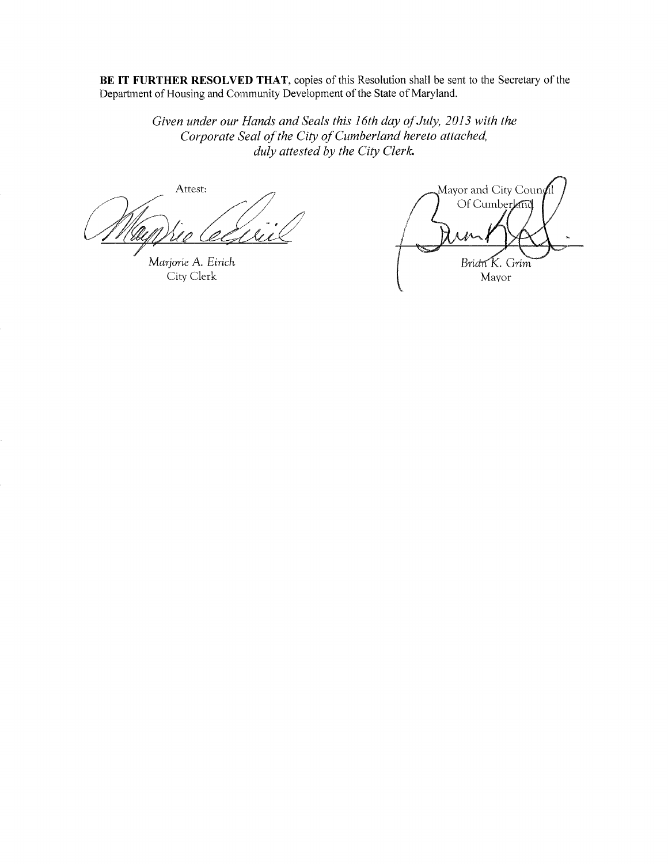BE IT FURTHER RESOLVED THAT, copies of this Resolution shall be sent to the Secretary of the Department of Housing and Community Development of the State of Maryland.

Given under our Hands and Seals this 16th day of July, 2013 with the Corporate Seal of the City of Cumberland hereto attached, duly attested by the City Clerk.

Attest:

Marjorie A. Eirich City Clerk

Mayor and City Coun $\rlap{/}{\rm f}$ Of Cumberland Bridn K. Grim Mayor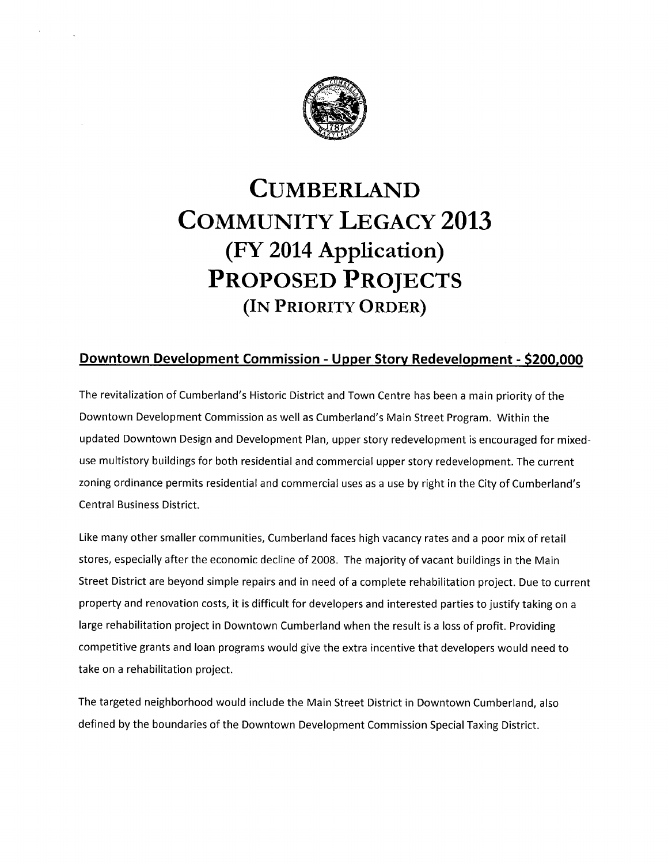

# **CUMBERLAND COMMUNITY LEGACY 2013** (FY 2014 Application) **PROPOSED PROJECTS** (IN PRIORITY ORDER)

### Downtown Development Commission - Upper Story Redevelopment - \$200,000

The revitalization of Cumberland's Historic District and Town Centre has been a main priority of the Downtown Development Commission as well as Cumberland's Main Street Program. Within the updated Downtown Design and Development Plan, upper story redevelopment is encouraged for mixeduse multistory buildings for both residential and commercial upper story redevelopment. The current zoning ordinance permits residential and commercial uses as a use by right in the City of Cumberland's **Central Business District.** 

Like many other smaller communities, Cumberland faces high vacancy rates and a poor mix of retail stores, especially after the economic decline of 2008. The majority of vacant buildings in the Main Street District are beyond simple repairs and in need of a complete rehabilitation project. Due to current property and renovation costs, it is difficult for developers and interested parties to justify taking on a large rehabilitation project in Downtown Cumberland when the result is a loss of profit. Providing competitive grants and loan programs would give the extra incentive that developers would need to take on a rehabilitation project.

The targeted neighborhood would include the Main Street District in Downtown Cumberland, also defined by the boundaries of the Downtown Development Commission Special Taxing District.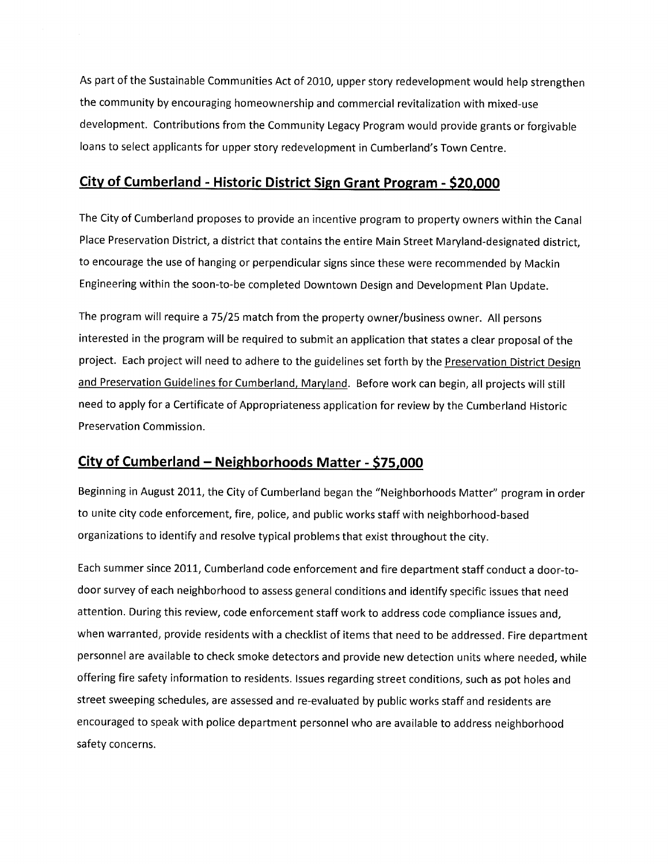As part of the Sustainable Communities Act of 2010, upper story redevelopment would help strengthen the community by encouraging homeownership and commercial revitalization with mixed-use development. Contributions from the Community Legacy Program would provide grants or forgivable loans to select applicants for upper story redevelopment in Cumberland's Town Centre.

#### City of Cumberland - Historic District Sign Grant Program - \$20,000

The City of Cumberland proposes to provide an incentive program to property owners within the Canal Place Preservation District, a district that contains the entire Main Street Maryland-designated district, to encourage the use of hanging or perpendicular signs since these were recommended by Mackin Engineering within the soon-to-be completed Downtown Design and Development Plan Update.

The program will require a 75/25 match from the property owner/business owner. All persons interested in the program will be required to submit an application that states a clear proposal of the project. Each project will need to adhere to the guidelines set forth by the Preservation District Design and Preservation Guidelines for Cumberland, Maryland. Before work can begin, all projects will still need to apply for a Certificate of Appropriateness application for review by the Cumberland Historic Preservation Commission.

#### City of Cumberland - Neighborhoods Matter - \$75,000

Beginning in August 2011, the City of Cumberland began the "Neighborhoods Matter" program in order to unite city code enforcement, fire, police, and public works staff with neighborhood-based organizations to identify and resolve typical problems that exist throughout the city.

Each summer since 2011, Cumberland code enforcement and fire department staff conduct a door-todoor survey of each neighborhood to assess general conditions and identify specific issues that need attention. During this review, code enforcement staff work to address code compliance issues and, when warranted, provide residents with a checklist of items that need to be addressed. Fire department personnel are available to check smoke detectors and provide new detection units where needed, while offering fire safety information to residents. Issues regarding street conditions, such as pot holes and street sweeping schedules, are assessed and re-evaluated by public works staff and residents are encouraged to speak with police department personnel who are available to address neighborhood safety concerns.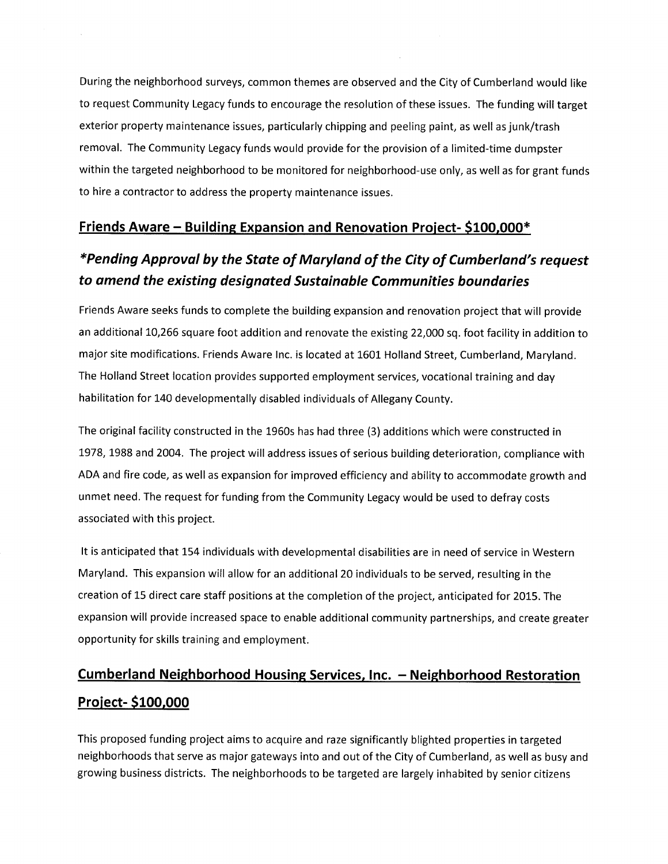During the neighborhood surveys, common themes are observed and the City of Cumberland would like to request Community Legacy funds to encourage the resolution of these issues. The funding will target exterior property maintenance issues, particularly chipping and peeling paint, as well as junk/trash removal. The Community Legacy funds would provide for the provision of a limited-time dumpster within the targeted neighborhood to be monitored for neighborhood-use only, as well as for grant funds to hire a contractor to address the property maintenance issues.

#### <u> Friends Aware – Building Expansion and Renovation Project- \$100,000\*</u>

## \*Pending Approval by the State of Maryland of the City of Cumberland's request to amend the existing designated Sustainable Communities boundaries

Friends Aware seeks funds to complete the building expansion and renovation project that will provide an additional 10,266 square foot addition and renovate the existing 22,000 sq. foot facility in addition to major site modifications. Friends Aware Inc. is located at 1601 Holland Street, Cumberland, Maryland. The Holland Street location provides supported employment services, vocational training and day habilitation for 140 developmentally disabled individuals of Allegany County.

The original facility constructed in the 1960s has had three (3) additions which were constructed in 1978, 1988 and 2004. The project will address issues of serious building deterioration, compliance with ADA and fire code, as well as expansion for improved efficiency and ability to accommodate growth and unmet need. The request for funding from the Community Legacy would be used to defray costs associated with this project.

It is anticipated that 154 individuals with developmental disabilities are in need of service in Western Maryland. This expansion will allow for an additional 20 individuals to be served, resulting in the creation of 15 direct care staff positions at the completion of the project, anticipated for 2015. The expansion will provide increased space to enable additional community partnerships, and create greater opportunity for skills training and employment.

## <u>Cumberland Neighborhood Housing Services, Inc. – Neighborhood Restoration</u> Project-\$100,000

This proposed funding project aims to acquire and raze significantly blighted properties in targeted neighborhoods that serve as major gateways into and out of the City of Cumberland, as well as busy and growing business districts. The neighborhoods to be targeted are largely inhabited by senior citizens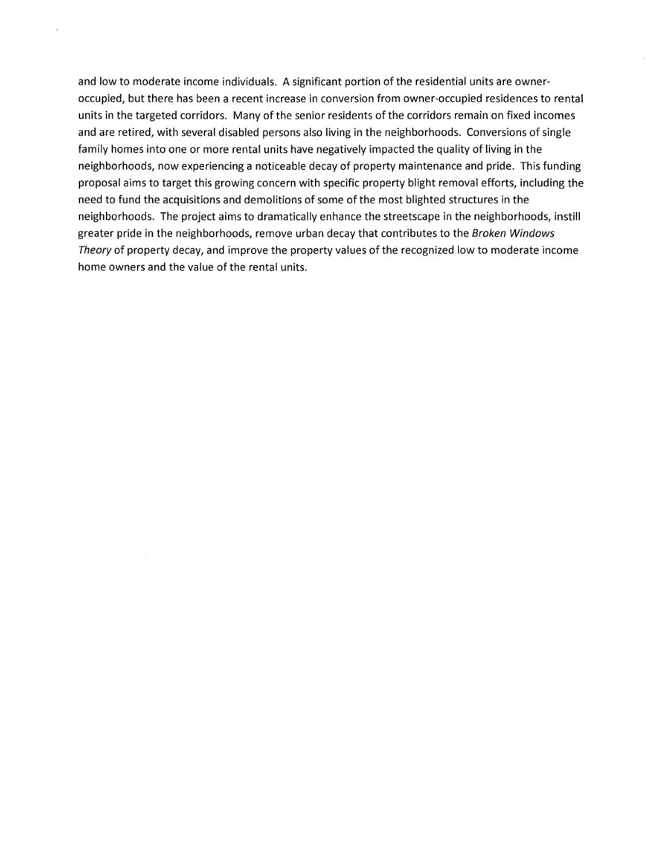and low to moderate income individuals. A significant portion of the residential units are owneroccupied, but there has been a recent increase in conversion from owner-occupied residences to rental units in the targeted corridors. Many of the senior residents of the corridors remain on fixed incomes and are retired, with several disabled persons also living in the neighborhoods. Conversions of single family homes into one or more rental units have negatively impacted the quality of living in the neighborhoods, now experiencing a noticeable decay of property maintenance and pride. This funding proposal aims to target this growing concern with specific property blight removal efforts, including the need to fund the acquisitions and demolitions of some of the most blighted structures in the neighborhoods. The project aims to dramatically enhance the streetscape in the neighborhoods, instill greater pride in the neighborhoods, remove urban decay that contributes to the Broken Windows Theory of property decay, and improve the property values of the recognized low to moderate income home owners and the value of the rental units.

 $\zeta = \zeta_{\rm L}$